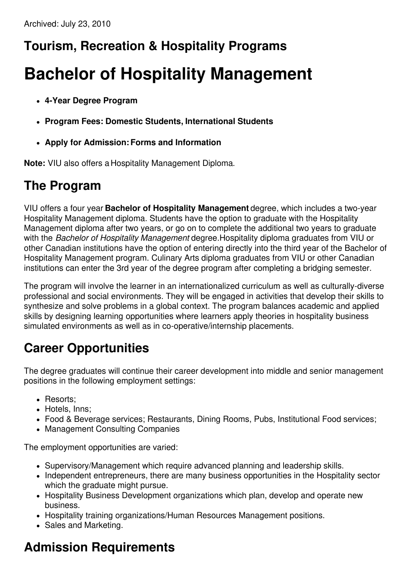## **Tourism, Recreation & Hospitality Programs**

# **Bachelor of Hospitality Management**

- **4-Year Degree Program**
- **Program Fees: Domestic Students, International Students**
- **Apply for Admission:Forms and Information**

**Note:** VIU also offers a Hospitality Management Diploma.

#### **The Program**

VIU offers a four year **Bachelor of Hospitality Management** degree, which includes a two-year Hospitality Management diploma. Students have the option to graduate with the Hospitality Management diploma after two years, or go on to complete the additional two years to graduate with the *Bachelor of Hospitality Management* degree.Hospitality diploma graduates from VIU or other Canadian institutions have the option of entering directly into the third year of the Bachelor of Hospitality Management program. Culinary Arts diploma graduates from VIU or other Canadian institutions can enter the 3rd year of the degree program after completing a bridging semester.

The program will involve the learner in an internationalized curriculum as well as culturally-diverse professional and social environments. They will be engaged in activities that develop their skills to synthesize and solve problems in a global context. The program balances academic and applied skills by designing learning opportunities where learners apply theories in hospitality business simulated environments as well as in co-operative/internship placements.

#### **Career Opportunities**

The degree graduates will continue their career development into middle and senior management positions in the following employment settings:

- Resorts:
- Hotels, Inns;
- Food & Beverage services; Restaurants, Dining Rooms, Pubs, Institutional Food services;
- Management Consulting Companies

The employment opportunities are varied:

- Supervisory/Management which require advanced planning and leadership skills.
- Independent entrepreneurs, there are many business opportunities in the Hospitality sector which the graduate might pursue.
- Hospitality Business Development organizations which plan, develop and operate new business.
- Hospitality training organizations/Human Resources Management positions.
- Sales and Marketing.

## **Admission Requirements**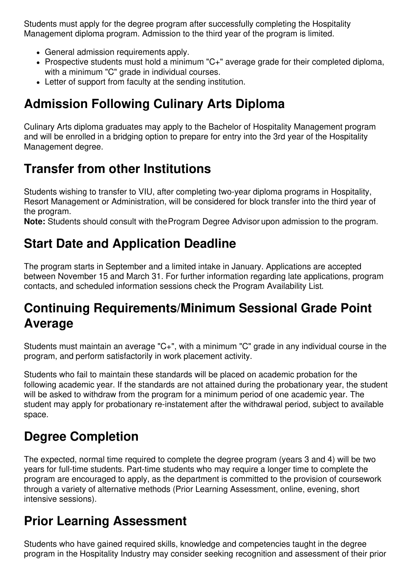Students must apply for the degree program after successfully completing the Hospitality Management diploma program. Admission to the third year of the program is limited.

- General admission requirements apply.
- Prospective students must hold a minimum "C+" average grade for their completed diploma, with a minimum "C" grade in individual courses.
- Letter of support from faculty at the sending institution.

## **Admission Following Culinary Arts Diploma**

Culinary Arts diploma graduates may apply to the Bachelor of Hospitality Management program and will be enrolled in a bridging option to prepare for entry into the 3rd year of the Hospitality Management degree.

## **Transfer from other Institutions**

Students wishing to transfer to VIU, after completing two-year diploma programs in Hospitality, Resort Management or Administration, will be considered for block transfer into the third year of the program.

**Note:** Students should consult with theProgram Degree Advisor upon admission to the program.

## **Start Date and Application Deadline**

The program starts in September and a limited intake in January. Applications are accepted between November 15 and March 31. For further information regarding late applications, program contacts, and scheduled information sessions check the Program Availability List.

## **Continuing Requirements/Minimum Sessional Grade Point Average**

Students must maintain an average "C+", with a minimum "C" grade in any individual course in the program, and perform satisfactorily in work placement activity.

Students who fail to maintain these standards will be placed on academic probation for the following academic year. If the standards are not attained during the probationary year, the student will be asked to withdraw from the program for a minimum period of one academic year. The student may apply for probationary re-instatement after the withdrawal period, subject to available space.

## **Degree Completion**

The expected, normal time required to complete the degree program (years 3 and 4) will be two years for full-time students. Part-time students who may require a longer time to complete the program are encouraged to apply, as the department is committed to the provision of coursework through a variety of alternative methods (Prior Learning Assessment, online, evening, short intensive sessions).

#### **Prior Learning Assessment**

Students who have gained required skills, knowledge and competencies taught in the degree program in the Hospitality Industry may consider seeking recognition and assessment of their prior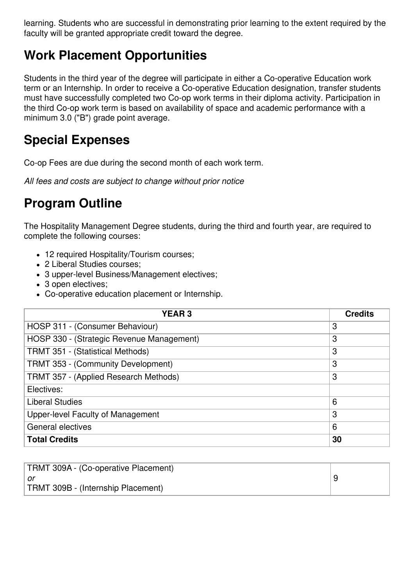learning. Students who are successful in demonstrating prior learning to the extent required by the faculty will be granted appropriate credit toward the degree.

## **Work Placement Opportunities**

Students in the third year of the degree will participate in either a Co-operative Education work term or an Internship. In order to receive a Co-operative Education designation, transfer students must have successfully completed two Co-op work terms in their diploma activity. Participation in the third Co-op work term is based on availability of space and academic performance with a minimum 3.0 ("B") grade point average.

#### **Special Expenses**

Co-op Fees are due during the second month of each work term.

*All fees and costs are subject to change without prior notice*

## **Program Outline**

The Hospitality Management Degree students, during the third and fourth year, are required to complete the following courses:

- 12 required Hospitality/Tourism courses;
- 2 Liberal Studies courses;
- 3 upper-level Business/Management electives;
- 3 open electives;
- Co-operative education placement or Internship.

| <b>YEAR3</b>                              | <b>Credits</b> |
|-------------------------------------------|----------------|
| HOSP 311 - (Consumer Behaviour)           | 3              |
| HOSP 330 - (Strategic Revenue Management) | 3              |
| TRMT 351 - (Statistical Methods)          | 3              |
| TRMT 353 - (Community Development)        | 3              |
| TRMT 357 - (Applied Research Methods)     | 3              |
| Electives:                                |                |
| <b>Liberal Studies</b>                    | 6              |
| Upper-level Faculty of Management         | 3              |
| <b>General electives</b>                  | 6              |
| <b>Total Credits</b>                      | 30             |

| TRMT 309A - (Co-operative Placement) |  |
|--------------------------------------|--|
| ∣ or                                 |  |
| TRMT 309B - (Internship Placement)   |  |